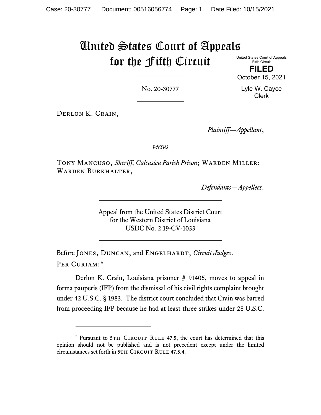## United States Court of Appeals for the Fifth Circuit

United States Court of Appeals Fifth Circuit

**FILED** October 15, 2021

No. 20-30777

Lyle W. Cayce Clerk

Derlon K. Crain,

*Plaintiff—Appellant*,

*versus*

TONY MANCUSO, *Sheriff, Calcasieu Parish Prison*; WARDEN MILLER; WARDEN BURKHALTER,

*Defendants—Appellees*.

Appeal from the United States District Court for the Western District of Louisiana USDC No. 2:19-CV-1033

Before JONES, DUNCAN, and ENGELHARDT, *Circuit Judges*. Per Curiam:[\\*](#page-0-0)

Derlon K. Crain, Louisiana prisoner # 91405, moves to appeal in forma pauperis (IFP) from the dismissal of his civil rights complaint brought under 42 U.S.C. § 1983. The district court concluded that Crain was barred from proceeding IFP because he had at least three strikes under 28 U.S.C.

<span id="page-0-0"></span><sup>\*</sup> Pursuant to 5TH CIRCUIT RULE 47.5, the court has determined that this opinion should not be published and is not precedent except under the limited circumstances set forth in 5TH CIRCUIT RULE 47.5.4.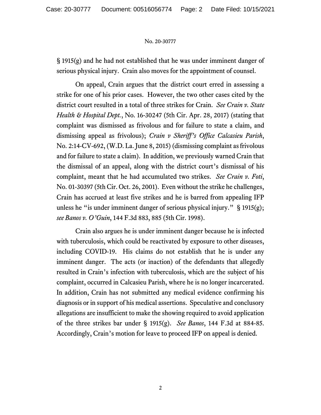## No. 20-30777

§ 1915(g) and he had not established that he was under imminent danger of serious physical injury. Crain also moves for the appointment of counsel.

On appeal, Crain argues that the district court erred in assessing a strike for one of his prior cases. However, the two other cases cited by the district court resulted in a total of three strikes for Crain. *See Crain v. State Health & Hospital Dept.*, No. 16-30247 (5th Cir. Apr. 28, 2017) (stating that complaint was dismissed as frivolous and for failure to state a claim, and dismissing appeal as frivolous); *Crain v Sheriff's Office Calcasieu Parish*, No. 2:14-CV-692, (W.D. La. June 8, 2015) (dismissing complaint as frivolous and for failure to state a claim). In addition, we previously warned Crain that the dismissal of an appeal, along with the district court's dismissal of his complaint, meant that he had accumulated two strikes. *See Crain v. Foti*, No. 01-30397 (5th Cir. Oct. 26, 2001). Even without the strike he challenges, Crain has accrued at least five strikes and he is barred from appealing IFP unless he "is under imminent danger of serious physical injury." § 1915(g); *see Banos v. O'Guin*, 144 F.3d 883, 885 (5th Cir. 1998).

Crain also argues he is under imminent danger because he is infected with tuberculosis, which could be reactivated by exposure to other diseases, including COVID-19. His claims do not establish that he is under any imminent danger. The acts (or inaction) of the defendants that allegedly resulted in Crain's infection with tuberculosis, which are the subject of his complaint, occurred in Calcasieu Parish, where he is no longer incarcerated. In addition, Crain has not submitted any medical evidence confirming his diagnosis or in support of his medical assertions. Speculative and conclusory allegations are insufficient to make the showing required to avoid application of the three strikes bar under § 1915(g). *See Banos*, 144 F.3d at 884-85. Accordingly, Crain's motion for leave to proceed IFP on appeal is denied.